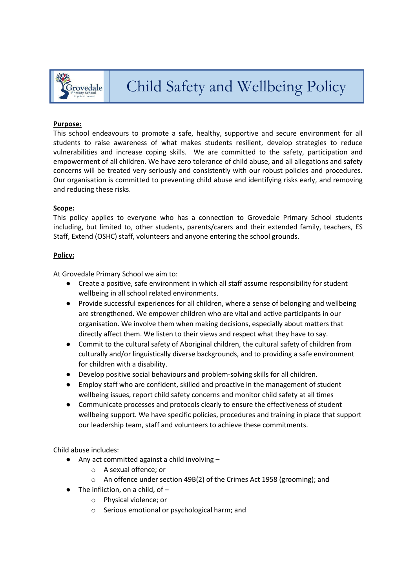

#### **Purpose:**

This school endeavours to promote a safe, healthy, supportive and secure environment for all students to raise awareness of what makes students resilient, develop strategies to reduce vulnerabilities and increase coping skills. We are committed to the safety, participation and empowerment of all children. We have zero tolerance of child abuse, and all allegations and safety concerns will be treated very seriously and consistently with our robust policies and procedures. Our organisation is committed to preventing child abuse and identifying risks early, and removing and reducing these risks.

#### **Scope:**

This policy applies to everyone who has a connection to Grovedale Primary School students including, but limited to, other students, parents/carers and their extended family, teachers, ES Staff, Extend (OSHC) staff, volunteers and anyone entering the school grounds.

#### **Policy:**

At Grovedale Primary School we aim to:

- Create a positive, safe environment in which all staff assume responsibility for student wellbeing in all school related environments.
- Provide successful experiences for all children, where a sense of belonging and wellbeing are strengthened. We empower children who are vital and active participants in our organisation. We involve them when making decisions, especially about matters that directly affect them. We listen to their views and respect what they have to say.
- Commit to the cultural safety of Aboriginal children, the cultural safety of children from culturally and/or linguistically diverse backgrounds, and to providing a safe environment for children with a disability.
- Develop positive social behaviours and problem-solving skills for all children.
- Employ staff who are confident, skilled and proactive in the management of student wellbeing issues, report child safety concerns and monitor child safety at all times
- Communicate processes and protocols clearly to ensure the effectiveness of student wellbeing support. We have specific policies, procedures and training in place that support our leadership team, staff and volunteers to achieve these commitments.

Child abuse includes:

- Any act committed against a child involving
	- o A sexual offence; or
	- o An offence under section 49B(2) of the Crimes Act 1958 (grooming); and
- $\bullet$  The infliction, on a child, of  $$ 
	- o Physical violence; or
	- o Serious emotional or psychological harm; and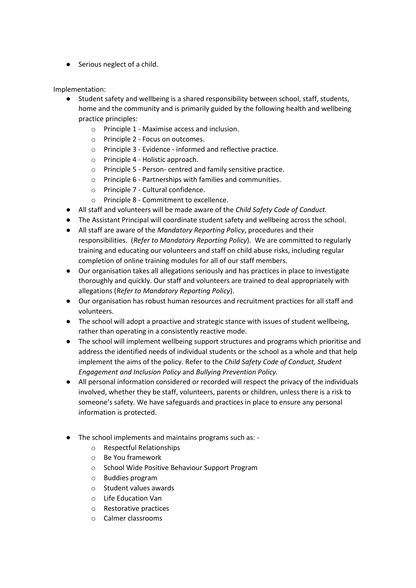● Serious neglect of a child.

Implementation:

- Student safety and wellbeing is a shared responsibility between school, staff, students, home and the community and is primarily guided by the following health and wellbeing practice principles:
	- o Principle 1 Maximise access and inclusion.
	- o Principle 2 Focus on outcomes.
	- o Principle 3 Evidence informed and reflective practice.
	- o Principle 4 Holistic approach.
	- o Principle 5 Person- centred and family sensitive practice.
	- o Principle 6 Partnerships with families and communities.
	- o Principle 7 Cultural confidence.
	- o Principle 8 Commitment to excellence.
- All staff and volunteers will be made aware of the *Child Safety Code of Conduct.*
- The Assistant Principal will coordinate student safety and wellbeing across the school.
- All staff are aware of the *Mandatory Reporting Policy*, procedures and their responsibilities. (*Refer to Mandatory Reporting Policy*). We are committed to regularly training and educating our volunteers and staff on child abuse risks, including regular completion of online training modules for all of our staff members.
- Our organisation takes all allegations seriously and has practices in place to investigate thoroughly and quickly. Our staff and volunteers are trained to deal appropriately with allegations (*Refer to Mandatory Reporting Policy*).
- Our organisation has robust human resources and recruitment practices for all staff and volunteers.
- The school will adopt a proactive and strategic stance with issues of student wellbeing, rather than operating in a consistently reactive mode.
- The school will implement wellbeing support structures and programs which prioritise and address the identified needs of individual students or the school as a whole and that help implement the aims of the policy. Refer to the *Child Safety Code of Conduct, Student Engagement and Inclusion Policy* and *Bullying Prevention Policy.*
- All personal information considered or recorded will respect the privacy of the individuals involved, whether they be staff, volunteers, parents or children, unless there is a risk to someone's safety. We have safeguards and practices in place to ensure any personal information is protected.
- The school implements and maintains programs such as:
	- o Respectful Relationships
	- o Be You framework
	- o School Wide Positive Behaviour Support Program
	- o Buddies program
	- o Student values awards
	- o Life Education Van
	- o Restorative practices
	- o Calmer classrooms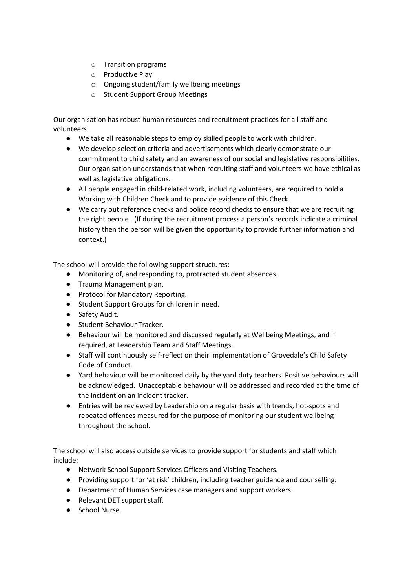- o Transition programs
- o Productive Play
- o Ongoing student/family wellbeing meetings
- o Student Support Group Meetings

Our organisation has robust human resources and recruitment practices for all staff and volunteers.

- We take all reasonable steps to employ skilled people to work with children.
- We develop selection criteria and advertisements which clearly demonstrate our commitment to child safety and an awareness of our social and legislative responsibilities. Our organisation understands that when recruiting staff and volunteers we have ethical as well as legislative obligations.
- All people engaged in child-related work, including volunteers, are required to hold a Working with Children Check and to provide evidence of this Check.
- We carry out reference checks and police record checks to ensure that we are recruiting the right people. (If during the recruitment process a person's records indicate a criminal history then the person will be given the opportunity to provide further information and context.)

The school will provide the following support structures:

- Monitoring of, and responding to, protracted student absences.
- Trauma Management plan.
- Protocol for Mandatory Reporting.
- Student Support Groups for children in need.
- Safety Audit.
- Student Behaviour Tracker.
- Behaviour will be monitored and discussed regularly at Wellbeing Meetings, and if required, at Leadership Team and Staff Meetings.
- Staff will continuously self-reflect on their implementation of Grovedale's Child Safety Code of Conduct.
- Yard behaviour will be monitored daily by the yard duty teachers. Positive behaviours will be acknowledged. Unacceptable behaviour will be addressed and recorded at the time of the incident on an incident tracker.
- Entries will be reviewed by Leadership on a regular basis with trends, hot-spots and repeated offences measured for the purpose of monitoring our student wellbeing throughout the school.

The school will also access outside services to provide support for students and staff which include:

- Network School Support Services Officers and Visiting Teachers.
- Providing support for 'at risk' children, including teacher guidance and counselling.
- Department of Human Services case managers and support workers.
- Relevant DET support staff.
- School Nurse.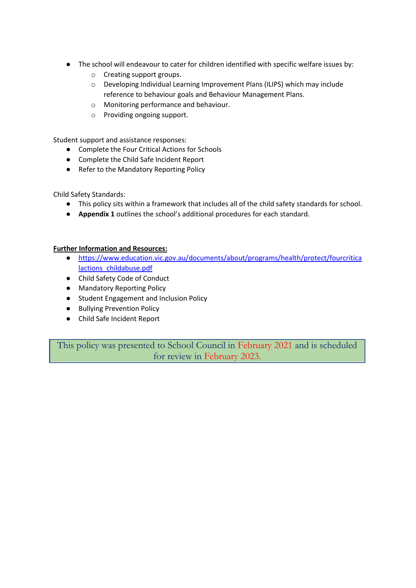- The school will endeavour to cater for children identified with specific welfare issues by:
	- o Creating support groups.
	- o Developing Individual Learning Improvement Plans (ILIPS) which may include reference to behaviour goals and Behaviour Management Plans.
	- o Monitoring performance and behaviour.
	- o Providing ongoing support.

Student support and assistance responses:

- Complete the Four Critical Actions for Schools
- Complete the Child Safe Incident Report
- Refer to the Mandatory Reporting Policy

Child Safety Standards:

- This policy sits within a framework that includes all of the child safety standards for school.
- **Appendix 1** outlines the school's additional procedures for each standard.

#### **Further Information and Resources:**

- [https://www.education.vic.gov.au/documents/about/programs/health/protect/fourcritica](https://www.education.vic.gov.au/documents/about/programs/health/protect/fourcriticalactions_childabuse.pdf) lactions childabuse.pdf
- Child Safety Code of Conduct
- Mandatory Reporting Policy
- Student Engagement and Inclusion Policy
- Bullying Prevention Policy
- Child Safe Incident Report

This policy was presented to School Council in February 2021 and is scheduled for review in February 2023.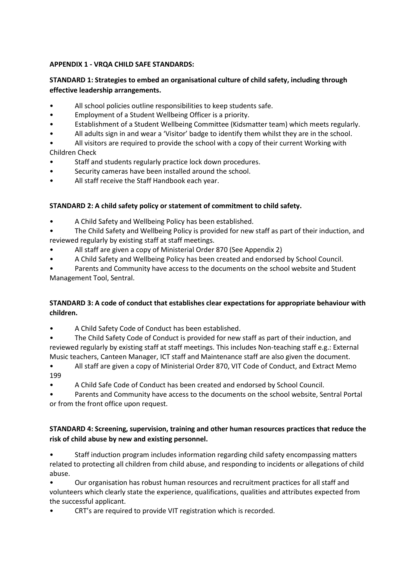### **APPENDIX 1 - VRQA CHILD SAFE STANDARDS:**

## **STANDARD 1: Strategies to embed an organisational culture of child safety, including through effective leadership arrangements.**

- All school policies outline responsibilities to keep students safe.
- Employment of a Student Wellbeing Officer is a priority.
- Establishment of a Student Wellbeing Committee (Kidsmatter team) which meets regularly.
- All adults sign in and wear a 'Visitor' badge to identify them whilst they are in the school.
- All visitors are required to provide the school with a copy of their current Working with Children Check
- Staff and students regularly practice lock down procedures.
- Security cameras have been installed around the school.
- All staff receive the Staff Handbook each year.

### **STANDARD 2: A child safety policy or statement of commitment to child safety.**

- A Child Safety and Wellbeing Policy has been established.
- The Child Safety and Wellbeing Policy is provided for new staff as part of their induction, and reviewed regularly by existing staff at staff meetings.
- All staff are given a copy of Ministerial Order 870 (See Appendix 2)
- A Child Safety and Wellbeing Policy has been created and endorsed by School Council.
- Parents and Community have access to the documents on the school website and Student Management Tool, Sentral.

## **STANDARD 3: A code of conduct that establishes clear expectations for appropriate behaviour with children.**

- A Child Safety Code of Conduct has been established.
- The Child Safety Code of Conduct is provided for new staff as part of their induction, and reviewed regularly by existing staff at staff meetings. This includes Non-teaching staff e.g.: External Music teachers, Canteen Manager, ICT staff and Maintenance staff are also given the document.
- All staff are given a copy of Ministerial Order 870, VIT Code of Conduct, and Extract Memo 199
- A Child Safe Code of Conduct has been created and endorsed by School Council.

• Parents and Community have access to the documents on the school website, Sentral Portal or from the front office upon request.

### **STANDARD 4: Screening, supervision, training and other human resources practices that reduce the risk of child abuse by new and existing personnel.**

• Staff induction program includes information regarding child safety encompassing matters related to protecting all children from child abuse, and responding to incidents or allegations of child abuse.

• Our organisation has robust human resources and recruitment practices for all staff and volunteers which clearly state the experience, qualifications, qualities and attributes expected from the successful applicant.

• CRT's are required to provide VIT registration which is recorded.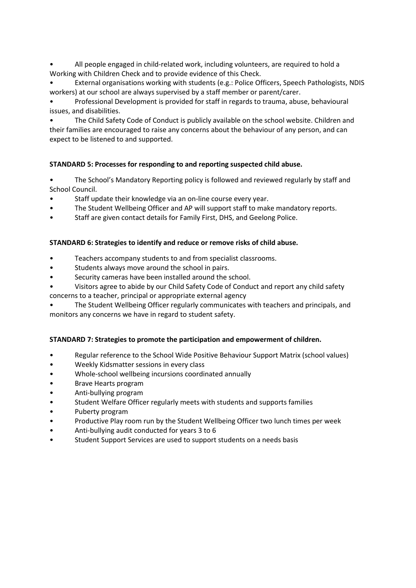• All people engaged in child-related work, including volunteers, are required to hold a Working with Children Check and to provide evidence of this Check.

• External organisations working with students (e.g.: Police Officers, Speech Pathologists, NDIS workers) at our school are always supervised by a staff member or parent/carer.

• Professional Development is provided for staff in regards to trauma, abuse, behavioural issues, and disabilities.

• The Child Safety Code of Conduct is publicly available on the school website. Children and their families are encouraged to raise any concerns about the behaviour of any person, and can expect to be listened to and supported.

### **STANDARD 5: Processes for responding to and reporting suspected child abuse.**

• The School's Mandatory Reporting policy is followed and reviewed regularly by staff and School Council.

- Staff update their knowledge via an on-line course every year.
- The Student Wellbeing Officer and AP will support staff to make mandatory reports.
- Staff are given contact details for Family First, DHS, and Geelong Police.

#### **STANDARD 6: Strategies to identify and reduce or remove risks of child abuse.**

- Teachers accompany students to and from specialist classrooms.
- Students always move around the school in pairs.
- Security cameras have been installed around the school.
- Visitors agree to abide by our Child Safety Code of Conduct and report any child safety concerns to a teacher, principal or appropriate external agency
- The Student Wellbeing Officer regularly communicates with teachers and principals, and monitors any concerns we have in regard to student safety.

#### **STANDARD 7: Strategies to promote the participation and empowerment of children.**

- Regular reference to the School Wide Positive Behaviour Support Matrix (school values)
- Weekly Kidsmatter sessions in every class
- Whole-school wellbeing incursions coordinated annually
- Brave Hearts program
- Anti-bullying program
- Student Welfare Officer regularly meets with students and supports families
- Puberty program
- Productive Play room run by the Student Wellbeing Officer two lunch times per week
- Anti-bullying audit conducted for years 3 to 6
- Student Support Services are used to support students on a needs basis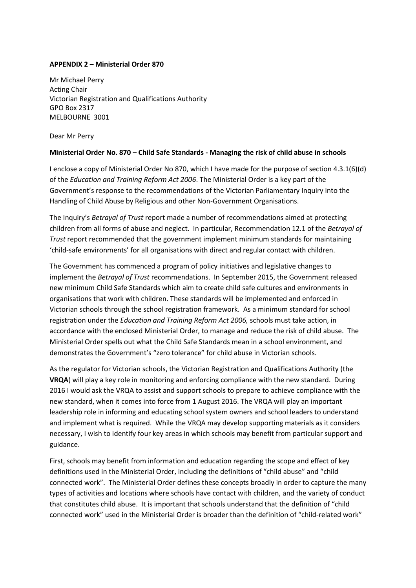#### **APPENDIX 2 – Ministerial Order 870**

Mr Michael Perry Acting Chair Victorian Registration and Qualifications Authority GPO Box 2317 MELBOURNE 3001

Dear Mr Perry

#### **Ministerial Order No. 870 – Child Safe Standards - Managing the risk of child abuse in schools**

I enclose a copy of Ministerial Order No 870, which I have made for the purpose of section 4.3.1(6)(d) of the *Education and Training Reform Act 2006*. The Ministerial Order is a key part of the Government's response to the recommendations of the Victorian Parliamentary Inquiry into the Handling of Child Abuse by Religious and other Non-Government Organisations.

The Inquiry's *Betrayal of Trust* report made a number of recommendations aimed at protecting children from all forms of abuse and neglect. In particular, Recommendation 12.1 of the *Betrayal of Trust* report recommended that the government implement minimum standards for maintaining 'child-safe environments' for all organisations with direct and regular contact with children.

The Government has commenced a program of policy initiatives and legislative changes to implement the *Betrayal of Trust* recommendations. In September 2015, the Government released new minimum Child Safe Standards which aim to create child safe cultures and environments in organisations that work with children. These standards will be implemented and enforced in Victorian schools through the school registration framework. As a minimum standard for school registration under the *Education and Training Reform Act 2006,* schools must take action, in accordance with the enclosed Ministerial Order, to manage and reduce the risk of child abuse. The Ministerial Order spells out what the Child Safe Standards mean in a school environment, and demonstrates the Government's "zero tolerance" for child abuse in Victorian schools.

As the regulator for Victorian schools, the Victorian Registration and Qualifications Authority (the **VRQA**) will play a key role in monitoring and enforcing compliance with the new standard. During 2016 I would ask the VRQA to assist and support schools to prepare to achieve compliance with the new standard, when it comes into force from 1 August 2016. The VRQA will play an important leadership role in informing and educating school system owners and school leaders to understand and implement what is required. While the VRQA may develop supporting materials as it considers necessary, I wish to identify four key areas in which schools may benefit from particular support and guidance.

First, schools may benefit from information and education regarding the scope and effect of key definitions used in the Ministerial Order, including the definitions of "child abuse" and "child connected work". The Ministerial Order defines these concepts broadly in order to capture the many types of activities and locations where schools have contact with children, and the variety of conduct that constitutes child abuse. It is important that schools understand that the definition of "child connected work" used in the Ministerial Order is broader than the definition of "child-related work"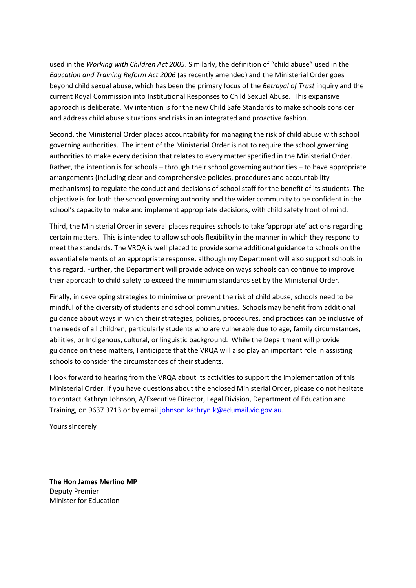used in the *Working with Children Act 2005*. Similarly, the definition of "child abuse" used in the *Education and Training Reform Act 2006* (as recently amended) and the Ministerial Order goes beyond child sexual abuse, which has been the primary focus of the *Betrayal of Trust* inquiry and the current Royal Commission into Institutional Responses to Child Sexual Abuse. This expansive approach is deliberate. My intention is for the new Child Safe Standards to make schools consider and address child abuse situations and risks in an integrated and proactive fashion.

Second, the Ministerial Order places accountability for managing the risk of child abuse with school governing authorities. The intent of the Ministerial Order is not to require the school governing authorities to make every decision that relates to every matter specified in the Ministerial Order. Rather, the intention is for schools – through their school governing authorities – to have appropriate arrangements (including clear and comprehensive policies, procedures and accountability mechanisms) to regulate the conduct and decisions of school staff for the benefit of its students. The objective is for both the school governing authority and the wider community to be confident in the school's capacity to make and implement appropriate decisions, with child safety front of mind.

Third, the Ministerial Order in several places requires schools to take 'appropriate' actions regarding certain matters. This is intended to allow schools flexibility in the manner in which they respond to meet the standards. The VRQA is well placed to provide some additional guidance to schools on the essential elements of an appropriate response, although my Department will also support schools in this regard. Further, the Department will provide advice on ways schools can continue to improve their approach to child safety to exceed the minimum standards set by the Ministerial Order.

Finally, in developing strategies to minimise or prevent the risk of child abuse, schools need to be mindful of the diversity of students and school communities. Schools may benefit from additional guidance about ways in which their strategies, policies, procedures, and practices can be inclusive of the needs of all children, particularly students who are vulnerable due to age, family circumstances, abilities, or Indigenous, cultural, or linguistic background. While the Department will provide guidance on these matters, I anticipate that the VRQA will also play an important role in assisting schools to consider the circumstances of their students.

I look forward to hearing from the VRQA about its activities to support the implementation of this Ministerial Order. If you have questions about the enclosed Ministerial Order, please do not hesitate to contact Kathryn Johnson, A/Executive Director, Legal Division, Department of Education and Training, on 9637 3713 or by emai[l johnson.kathryn.k@edumail.vic.gov.au.](mailto:johnson.kathryn.k@edumail.vic.gov.au)

Yours sincerely

**The Hon James Merlino MP** Deputy Premier Minister for Education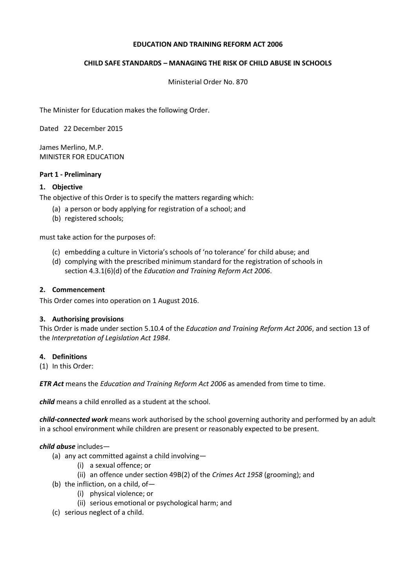#### **EDUCATION AND TRAINING REFORM ACT 2006**

### **CHILD SAFE STANDARDS – MANAGING THE RISK OF CHILD ABUSE IN SCHOOLS**

Ministerial Order No. 870

The Minister for Education makes the following Order.

Dated 22 December 2015

James Merlino, M.P. MINISTER FOR EDUCATION

#### **Part 1 - Preliminary**

#### **1. Objective**

The objective of this Order is to specify the matters regarding which:

- (a) a person or body applying for registration of a school; and
- (b) registered schools;

must take action for the purposes of:

- (c) embedding a culture in Victoria's schools of 'no tolerance' for child abuse; and
- (d) complying with the prescribed minimum standard for the registration of schools in section 4.3.1(6)(d) of the *Education and Training Reform Act 2006*.

#### **2. Commencement**

This Order comes into operation on 1 August 2016.

#### **3. Authorising provisions**

This Order is made under section 5.10.4 of the *Education and Training Reform Act 2006*, and section 13 of the *Interpretation of Legislation Act 1984*.

#### **4. Definitions**

(1) In this Order:

*ETR Act* means the *Education and Training Reform Act 2006* as amended from time to time.

*child* means a child enrolled as a student at the school.

*child-connected work* means work authorised by the school governing authority and performed by an adult in a school environment while children are present or reasonably expected to be present.

#### *child abuse* includes—

- (a) any act committed against a child involving—
	- (i) a sexual offence; or
	- (ii) an offence under section 49B(2) of the *Crimes Act 1958* (grooming); and
- (b) the infliction, on a child, of—
	- (i) physical violence; or
	- (ii) serious emotional or psychological harm; and
- (c) serious neglect of a child.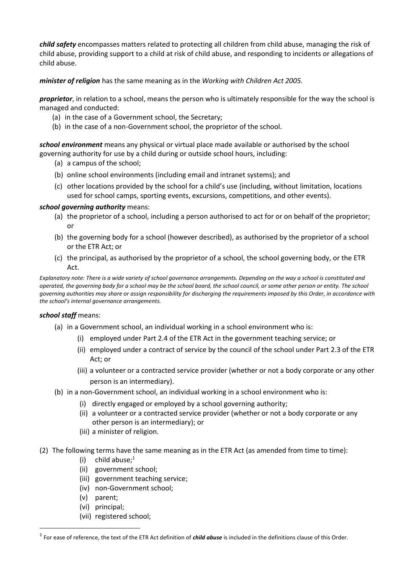*child safety* encompasses matters related to protecting all children from child abuse, managing the risk of child abuse, providing support to a child at risk of child abuse, and responding to incidents or allegations of child abuse.

*minister of religion* has the same meaning as in the *Working with Children Act 2005.*

*proprietor*, in relation to a school, means the person who is ultimately responsible for the way the school is managed and conducted:

- (a) in the case of a Government school, the Secretary;
- (b) in the case of a non-Government school, the proprietor of the school.

*school environment* means any physical or virtual place made available or authorised by the school governing authority for use by a child during or outside school hours, including:

- (a) a campus of the school;
- (b) online school environments (including email and intranet systems); and
- (c) other locations provided by the school for a child's use (including, without limitation, locations used for school camps, sporting events, excursions, competitions, and other events).

#### *school governing authority* means:

- (a) the proprietor of a school, including a person authorised to act for or on behalf of the proprietor; or
- (b) the governing body for a school (however described), as authorised by the proprietor of a school or the ETR Act; or
- (c) the principal, as authorised by the proprietor of a school, the school governing body, or the ETR Act.

*Explanatory note: There is a wide variety of school governance arrangements. Depending on the way a school is constituted and operated, the governing body for a school may be the school board, the school council, or some other person or entity. The school governing authorities may share or assign responsibility for discharging the requirements imposed by this Order, in accordance with the school's internal governance arrangements.*

#### *school staff* means:

- (a) in a Government school, an individual working in a school environment who is:
	- (i) employed under Part 2.4 of the ETR Act in the government teaching service; or
	- (ii) employed under a contract of service by the council of the school under Part 2.3 of the ETR Act; or
	- (iii) a volunteer or a contracted service provider (whether or not a body corporate or any other person is an intermediary).
- (b) in a non-Government school, an individual working in a school environment who is:
	- (i) directly engaged or employed by a school governing authority;
	- (ii) a volunteer or a contracted service provider (whether or not a body corporate or any other person is an intermediary); or
	- (iii) a minister of religion.
- (2) The following terms have the same meaning as in the ETR Act (as amended from time to time):
	- (i) child abuse; $1$
	- (ii) government school;
	- (iii) government teaching service;
	- (iv) non-Government school;
	- (v) parent;
	- (vi) principal;
	- (vii) registered school;

<sup>1</sup> For ease of reference, the text of the ETR Act definition of *child abuse* is included in the definitions clause of this Order.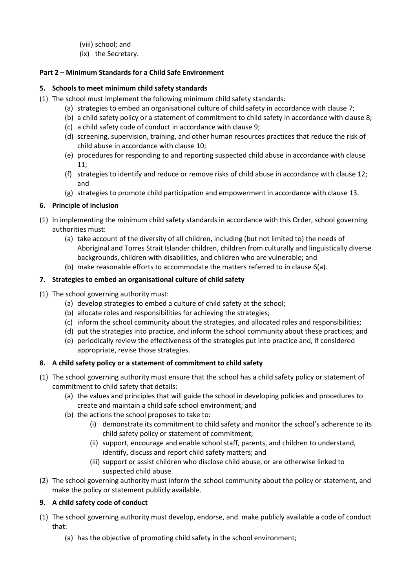(viii) school; and

(ix) the Secretary.

### **Part 2 – Minimum Standards for a Child Safe Environment**

### **5. Schools to meet minimum child safety standards**

- (1) The school must implement the following minimum child safety standards:
	- (a) strategies to embed an organisational culture of child safety in accordance with clause 7;
	- (b) a child safety policy or a statement of commitment to child safety in accordance with clause 8;
	- (c) a child safety code of conduct in accordance with clause 9;
	- (d) screening, supervision, training, and other human resources practices that reduce the risk of child abuse in accordance with clause 10;
	- (e) procedures for responding to and reporting suspected child abuse in accordance with clause 11;
	- (f) strategies to identify and reduce or remove risks of child abuse in accordance with clause 12; and
	- (g) strategies to promote child participation and empowerment in accordance with clause 13.

## **6. Principle of inclusion**

- (1) In implementing the minimum child safety standards in accordance with this Order, school governing authorities must:
	- (a) take account of the diversity of all children, including (but not limited to) the needs of Aboriginal and Torres Strait Islander children, children from culturally and linguistically diverse backgrounds, children with disabilities, and children who are vulnerable; and
	- (b) make reasonable efforts to accommodate the matters referred to in clause 6(a).

### **7. Strategies to embed an organisational culture of child safety**

- (1) The school governing authority must:
	- (a) develop strategies to embed a culture of child safety at the school;
	- (b) allocate roles and responsibilities for achieving the strategies;
	- (c) inform the school community about the strategies, and allocated roles and responsibilities;
	- (d) put the strategies into practice, and inform the school community about these practices; and
	- (e) periodically review the effectiveness of the strategies put into practice and, if considered appropriate, revise those strategies.

# **8. A child safety policy or a statement of commitment to child safety**

- (1) The school governing authority must ensure that the school has a child safety policy or statement of commitment to child safety that details:
	- (a) the values and principles that will guide the school in developing policies and procedures to create and maintain a child safe school environment; and
	- (b) the actions the school proposes to take to:
		- (i) demonstrate its commitment to child safety and monitor the school's adherence to its child safety policy or statement of commitment;
		- (ii) support, encourage and enable school staff, parents, and children to understand, identify, discuss and report child safety matters; and
		- (iii) support or assist children who disclose child abuse, or are otherwise linked to suspected child abuse.
- (2) The school governing authority must inform the school community about the policy or statement, and make the policy or statement publicly available.

# **9. A child safety code of conduct**

- (1) The school governing authority must develop, endorse, and make publicly available a code of conduct that:
	- (a) has the objective of promoting child safety in the school environment;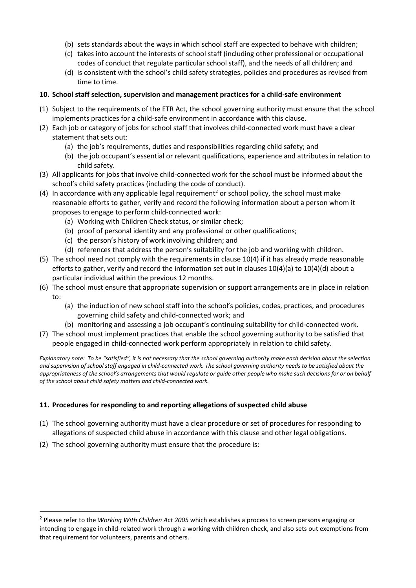- (b) sets standards about the ways in which school staff are expected to behave with children;
- (c) takes into account the interests of school staff (including other professional or occupational codes of conduct that regulate particular school staff), and the needs of all children; and
- (d) is consistent with the school's child safety strategies, policies and procedures as revised from time to time.

### **10. School staff selection, supervision and management practices for a child-safe environment**

- (1) Subject to the requirements of the ETR Act, the school governing authority must ensure that the school implements practices for a child-safe environment in accordance with this clause.
- (2) Each job or category of jobs for school staff that involves child-connected work must have a clear statement that sets out:
	- (a) the job's requirements, duties and responsibilities regarding child safety; and
	- (b) the job occupant's essential or relevant qualifications, experience and attributes in relation to child safety.
- (3) All applicants for jobs that involve child-connected work for the school must be informed about the school's child safety practices (including the code of conduct).
- (4) In accordance with any applicable legal requirement<sup>2</sup> or school policy, the school must make reasonable efforts to gather, verify and record the following information about a person whom it proposes to engage to perform child-connected work:
	- (a) Working with Children Check status, or similar check;
	- (b) proof of personal identity and any professional or other qualifications;
	- (c) the person's history of work involving children; and
	- (d) references that address the person's suitability for the job and working with children.
- (5) The school need not comply with the requirements in clause 10(4) if it has already made reasonable efforts to gather, verify and record the information set out in clauses 10(4)(a) to 10(4)(d) about a particular individual within the previous 12 months.
- (6) The school must ensure that appropriate supervision or support arrangements are in place in relation to:
	- (a) the induction of new school staff into the school's policies, codes, practices, and procedures governing child safety and child-connected work; and
	- (b) monitoring and assessing a job occupant's continuing suitability for child-connected work.
- (7) The school must implement practices that enable the school governing authority to be satisfied that people engaged in child-connected work perform appropriately in relation to child safety.

*Explanatory note: To be "satisfied", it is not necessary that the school governing authority make each decision about the selection and supervision of school staff engaged in child-connected work. The school governing authority needs to be satisfied about the appropriateness of the school's arrangements that would regulate or guide other people who make such decisions for or on behalf of the school about child safety matters and child-connected work.* 

### **11. Procedures for responding to and reporting allegations of suspected child abuse**

- (1) The school governing authority must have a clear procedure or set of procedures for responding to allegations of suspected child abuse in accordance with this clause and other legal obligations.
- (2) The school governing authority must ensure that the procedure is:

<sup>2</sup> Please refer to the *Working With Children Act 2005* which establishes a process to screen persons engaging or intending to engage in child-related work through a working with children check, and also sets out exemptions from that requirement for volunteers, parents and others.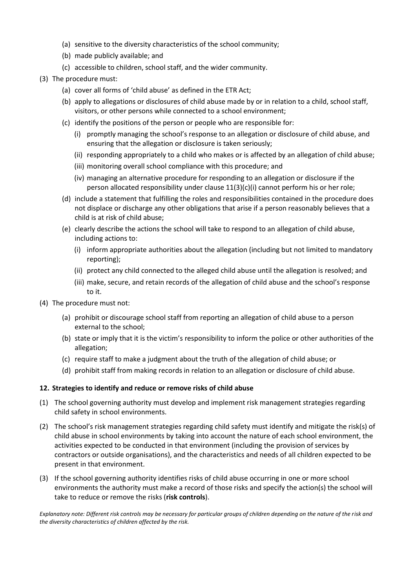- (a) sensitive to the diversity characteristics of the school community;
- (b) made publicly available; and
- (c) accessible to children, school staff, and the wider community.
- (3) The procedure must:
	- (a) cover all forms of 'child abuse' as defined in the ETR Act;
	- (b) apply to allegations or disclosures of child abuse made by or in relation to a child, school staff, visitors, or other persons while connected to a school environment;
	- (c) identify the positions of the person or people who are responsible for:
		- (i) promptly managing the school's response to an allegation or disclosure of child abuse, and ensuring that the allegation or disclosure is taken seriously;
		- (ii) responding appropriately to a child who makes or is affected by an allegation of child abuse;
		- (iii) monitoring overall school compliance with this procedure; and
		- (iv) managing an alternative procedure for responding to an allegation or disclosure if the person allocated responsibility under clause 11(3)(c)(i) cannot perform his or her role;
	- (d) include a statement that fulfilling the roles and responsibilities contained in the procedure does not displace or discharge any other obligations that arise if a person reasonably believes that a child is at risk of child abuse;
	- (e) clearly describe the actions the school will take to respond to an allegation of child abuse, including actions to:
		- (i) inform appropriate authorities about the allegation (including but not limited to mandatory reporting);
		- (ii) protect any child connected to the alleged child abuse until the allegation is resolved; and
		- (iii) make, secure, and retain records of the allegation of child abuse and the school's response to it.
- (4) The procedure must not:
	- (a) prohibit or discourage school staff from reporting an allegation of child abuse to a person external to the school;
	- (b) state or imply that it is the victim's responsibility to inform the police or other authorities of the allegation;
	- (c) require staff to make a judgment about the truth of the allegation of child abuse; or
	- (d) prohibit staff from making records in relation to an allegation or disclosure of child abuse.

#### **12. Strategies to identify and reduce or remove risks of child abuse**

- (1) The school governing authority must develop and implement risk management strategies regarding child safety in school environments.
- (2) The school's risk management strategies regarding child safety must identify and mitigate the risk(s) of child abuse in school environments by taking into account the nature of each school environment, the activities expected to be conducted in that environment (including the provision of services by contractors or outside organisations), and the characteristics and needs of all children expected to be present in that environment.
- (3) If the school governing authority identifies risks of child abuse occurring in one or more school environments the authority must make a record of those risks and specify the action(s) the school will take to reduce or remove the risks (**risk controls**).

*Explanatory note: Different risk controls may be necessary for particular groups of children depending on the nature of the risk and the diversity characteristics of children affected by the risk.*